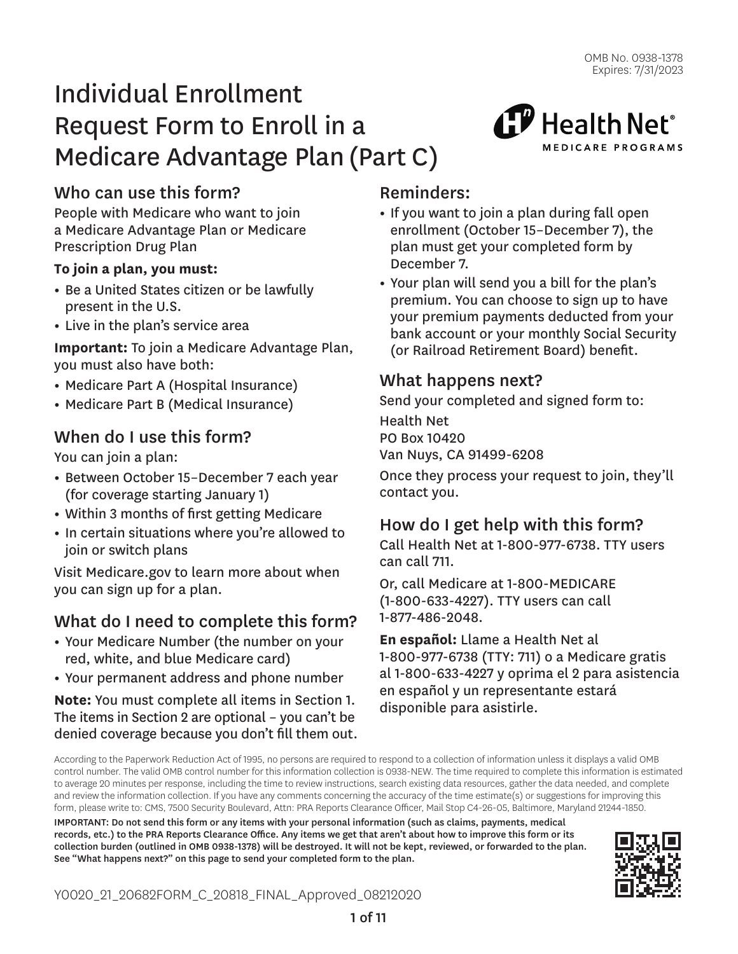${\mathbf f}{\mathbf F}$  Health Net $^{\circ}$ 

MEDICARE PROGRAMS

# Individual Enrollment Request Form to Enroll in a Medicare Advantage Plan (Part C)

# Who can use this form?

People with Medicare who want to join a Medicare Advantage Plan or Medicare Prescription Drug Plan

### **To join a plan, you must:**

- Be a United States citizen or be lawfully present in the U.S.
- Live in the plan's service area

**Important:** To join a Medicare Advantage Plan, you must also have both:

- Medicare Part A (Hospital Insurance)
- Medicare Part B (Medical Insurance)

## When do I use this form?

You can join a plan:

- Between October 15–December 7 each year (for coverage starting January 1)
- Within 3 months of first getting Medicare
- In certain situations where you're allowed to join or switch plans

Visit Medicare.gov to learn more about when you can sign up for a plan.

# What do I need to complete this form?

- Your Medicare Number (the number on your red, white, and blue Medicare card)
- Your permanent address and phone number

**Note:** You must complete all items in Section 1. The items in Section 2 are optional – you can't be denied coverage because you don't fill them out.

### Reminders:

- If you want to join a plan during fall open enrollment (October 15–December 7), the plan must get your completed form by December 7.
- Your plan will send you a bill for the plan's premium. You can choose to sign up to have your premium payments deducted from your bank account or your monthly Social Security (or Railroad Retirement Board) benefit.

### What happens next?

Send your completed and signed form to:

Health Net PO Box 10420 Van Nuys, CA 91499-6208

Once they process your request to join, they'll contact you.

### How do I get help with this form?

Call Health Net at 1-800-977-6738. TTY users can call 711.

Or, call Medicare at 1-800-MEDICARE (1-800-633-4227). TTY users can call 1-877-486-2048.

**En español:** Llame a Health Net al 1-800-977-6738 (TTY: 711) o a Medicare gratis al 1-800-633-4227 y oprima el 2 para asistencia en español y un representante estará disponible para asistirle.

According to the Paperwork Reduction Act of 1995, no persons are required to respond to a collection of information unless it displays a valid OMB control number. The valid OMB control number for this information collection is 0938-NEW. The time required to complete this information is estimated to average 20 minutes per response, including the time to review instructions, search existing data resources, gather the data needed, and complete and review the information collection. If you have any comments concerning the accuracy of the time estimate(s) or suggestions for improving this form, please write to: CMS, 7500 Security Boulevard, Attn: PRA Reports Clearance Officer, Mail Stop C4-26-05, Baltimore, Maryland 21244-1850.

IMPORTANT: Do not send this form or any items with your personal information (such as claims, payments, medical records, etc.) to the PRA Reports Clearance Office. Any items we get that aren't about how to improve this form or its collection burden (outlined in OMB 0938-1378) will be destroyed. It will not be kept, reviewed, or forwarded to the plan. See "What happens next?" on this page to send your completed form to the plan.

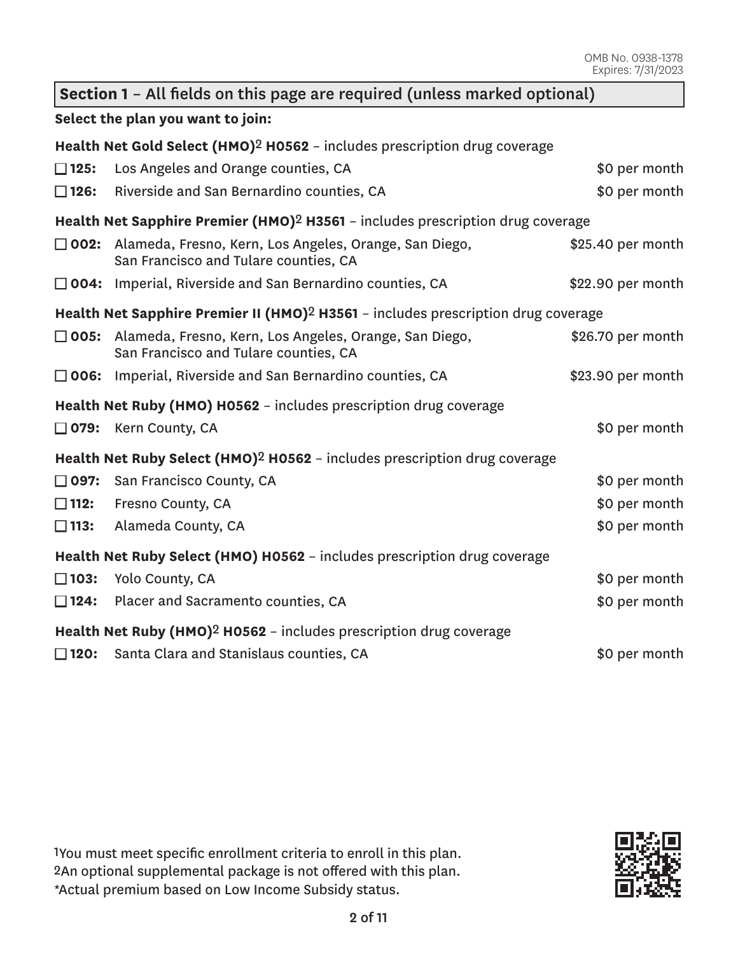| Section 1 - All fields on this page are required (unless marked optional) |                                                                                                        |                   |  |  |  |
|---------------------------------------------------------------------------|--------------------------------------------------------------------------------------------------------|-------------------|--|--|--|
| Select the plan you want to join:                                         |                                                                                                        |                   |  |  |  |
|                                                                           | Health Net Gold Select (HMO) <sup>2</sup> H0562 - includes prescription drug coverage                  |                   |  |  |  |
| $\square$ 125:                                                            | Los Angeles and Orange counties, CA                                                                    | \$0 per month     |  |  |  |
| $\square$ 126:                                                            | Riverside and San Bernardino counties, CA                                                              | \$0 per month     |  |  |  |
|                                                                           | Health Net Sapphire Premier (HMO) <sup>2</sup> H3561 - includes prescription drug coverage             |                   |  |  |  |
| $\square$ 002:                                                            | Alameda, Fresno, Kern, Los Angeles, Orange, San Diego,<br>San Francisco and Tulare counties, CA        | \$25.40 per month |  |  |  |
|                                                                           | $\square$ 004: Imperial, Riverside and San Bernardino counties, CA                                     | \$22.90 per month |  |  |  |
|                                                                           | Health Net Sapphire Premier II (HMO) <sup>2</sup> H3561 - includes prescription drug coverage          |                   |  |  |  |
|                                                                           | □ 005: Alameda, Fresno, Kern, Los Angeles, Orange, San Diego,<br>San Francisco and Tulare counties, CA | \$26.70 per month |  |  |  |
|                                                                           | $\Box$ 006: Imperial, Riverside and San Bernardino counties, CA                                        | \$23.90 per month |  |  |  |
|                                                                           | Health Net Ruby (HMO) H0562 - includes prescription drug coverage                                      |                   |  |  |  |
|                                                                           | $\Box$ 079: Kern County, CA                                                                            | \$0 per month     |  |  |  |
|                                                                           | Health Net Ruby Select (HMO) <sup>2</sup> H0562 - includes prescription drug coverage                  |                   |  |  |  |
| $\Box$ 097:                                                               | San Francisco County, CA                                                                               | \$0 per month     |  |  |  |
| $\square$ 112:                                                            | Fresno County, CA                                                                                      | \$0 per month     |  |  |  |
| $\square$ 113:                                                            | Alameda County, CA                                                                                     | \$0 per month     |  |  |  |
|                                                                           | Health Net Ruby Select (HMO) H0562 - includes prescription drug coverage                               |                   |  |  |  |
| $\square$ 103:                                                            | Yolo County, CA                                                                                        | \$0 per month     |  |  |  |
| $\square$ 124:                                                            | Placer and Sacramento counties, CA                                                                     | \$0 per month     |  |  |  |
|                                                                           | Health Net Ruby (HMO) <sup>2</sup> H0562 - includes prescription drug coverage                         |                   |  |  |  |
| $\square$ 120:                                                            | Santa Clara and Stanislaus counties, CA                                                                | \$0 per month     |  |  |  |

1You must meet specific enrollment criteria to enroll in this plan. 2An optional supplemental package is not offered with this plan. \*Actual premium based on Low Income Subsidy status.

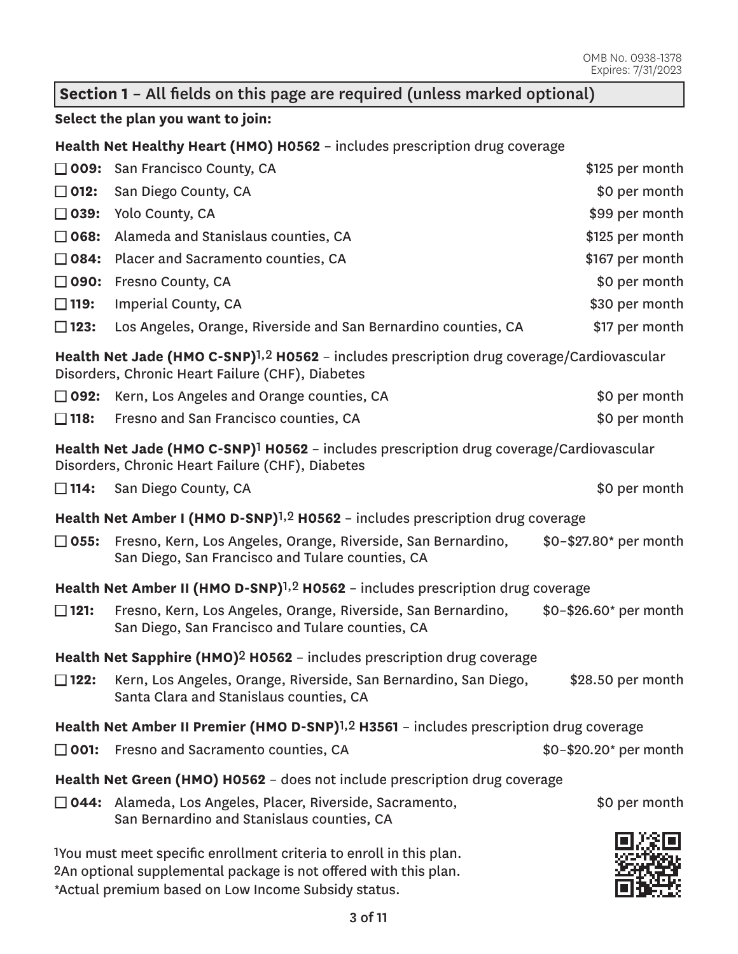### **Section 1** – All fields on this page are required (unless marked optional)

### **Select the plan you want to join:**

**Health Net Healthy Heart (HMO) H0562** – includes prescription drug coverage

|                                                                                                                                                           | □ 009: San Francisco County, CA                                                                                                                                                                | \$125 per month                 |  |  |  |
|-----------------------------------------------------------------------------------------------------------------------------------------------------------|------------------------------------------------------------------------------------------------------------------------------------------------------------------------------------------------|---------------------------------|--|--|--|
| $\square$ 012:                                                                                                                                            | San Diego County, CA                                                                                                                                                                           | \$0 per month                   |  |  |  |
| $\square$ 039:                                                                                                                                            | Yolo County, CA                                                                                                                                                                                | \$99 per month                  |  |  |  |
| $\square$ 068:                                                                                                                                            | Alameda and Stanislaus counties, CA                                                                                                                                                            | \$125 per month                 |  |  |  |
| □ 084:                                                                                                                                                    | Placer and Sacramento counties, CA                                                                                                                                                             | \$167 per month                 |  |  |  |
| □ 090:                                                                                                                                                    | Fresno County, CA                                                                                                                                                                              | \$0 per month                   |  |  |  |
| $\square$ 119:                                                                                                                                            | Imperial County, CA                                                                                                                                                                            | \$30 per month                  |  |  |  |
| $\square$ 123:                                                                                                                                            | Los Angeles, Orange, Riverside and San Bernardino counties, CA                                                                                                                                 | \$17 per month                  |  |  |  |
| Health Net Jade (HMO C-SNP) <sup>1,2</sup> H0562 - includes prescription drug coverage/Cardiovascular<br>Disorders, Chronic Heart Failure (CHF), Diabetes |                                                                                                                                                                                                |                                 |  |  |  |
| □ 092:                                                                                                                                                    | Kern, Los Angeles and Orange counties, CA                                                                                                                                                      | \$0 per month                   |  |  |  |
| $\square$ 118:                                                                                                                                            | Fresno and San Francisco counties, CA                                                                                                                                                          | \$0 per month                   |  |  |  |
|                                                                                                                                                           | Health Net Jade (HMO C-SNP) <sup>1</sup> H0562 - includes prescription drug coverage/Cardiovascular<br>Disorders, Chronic Heart Failure (CHF), Diabetes                                        |                                 |  |  |  |
|                                                                                                                                                           | $\Box$ 114: San Diego County, CA                                                                                                                                                               | \$0 per month                   |  |  |  |
|                                                                                                                                                           | Health Net Amber I (HMO D-SNP) <sup>1,2</sup> H0562 - includes prescription drug coverage                                                                                                      |                                 |  |  |  |
| $\square$ 055:                                                                                                                                            | Fresno, Kern, Los Angeles, Orange, Riverside, San Bernardino,<br>San Diego, San Francisco and Tulare counties, CA                                                                              | \$0-\$27.80* per month          |  |  |  |
|                                                                                                                                                           | Health Net Amber II (HMO D-SNP) <sup>1,2</sup> H0562 - includes prescription drug coverage                                                                                                     |                                 |  |  |  |
| $\square$ 121:                                                                                                                                            | Fresno, Kern, Los Angeles, Orange, Riverside, San Bernardino,<br>San Diego, San Francisco and Tulare counties, CA                                                                              | $$0 - $26.60^{\ast}$$ per month |  |  |  |
|                                                                                                                                                           | Health Net Sapphire (HMO) <sup>2</sup> H0562 - includes prescription drug coverage                                                                                                             |                                 |  |  |  |
| $\square$ 122:                                                                                                                                            | Kern, Los Angeles, Orange, Riverside, San Bernardino, San Diego,<br>Santa Clara and Stanislaus counties, CA                                                                                    | \$28.50 per month               |  |  |  |
|                                                                                                                                                           | Health Net Amber II Premier (HMO D-SNP) <sup>1,2</sup> H3561 - includes prescription drug coverage                                                                                             |                                 |  |  |  |
| $\square$ 001:                                                                                                                                            | Fresno and Sacramento counties, CA                                                                                                                                                             | \$0-\$20.20* per month          |  |  |  |
|                                                                                                                                                           | Health Net Green (HMO) H0562 - does not include prescription drug coverage                                                                                                                     |                                 |  |  |  |
|                                                                                                                                                           | □ 044: Alameda, Los Angeles, Placer, Riverside, Sacramento,<br>San Bernardino and Stanislaus counties, CA                                                                                      | \$0 per month                   |  |  |  |
|                                                                                                                                                           | 1You must meet specific enrollment criteria to enroll in this plan.<br>2An optional supplemental package is not offered with this plan.<br>*Actual premium based on Low Income Subsidy status. |                                 |  |  |  |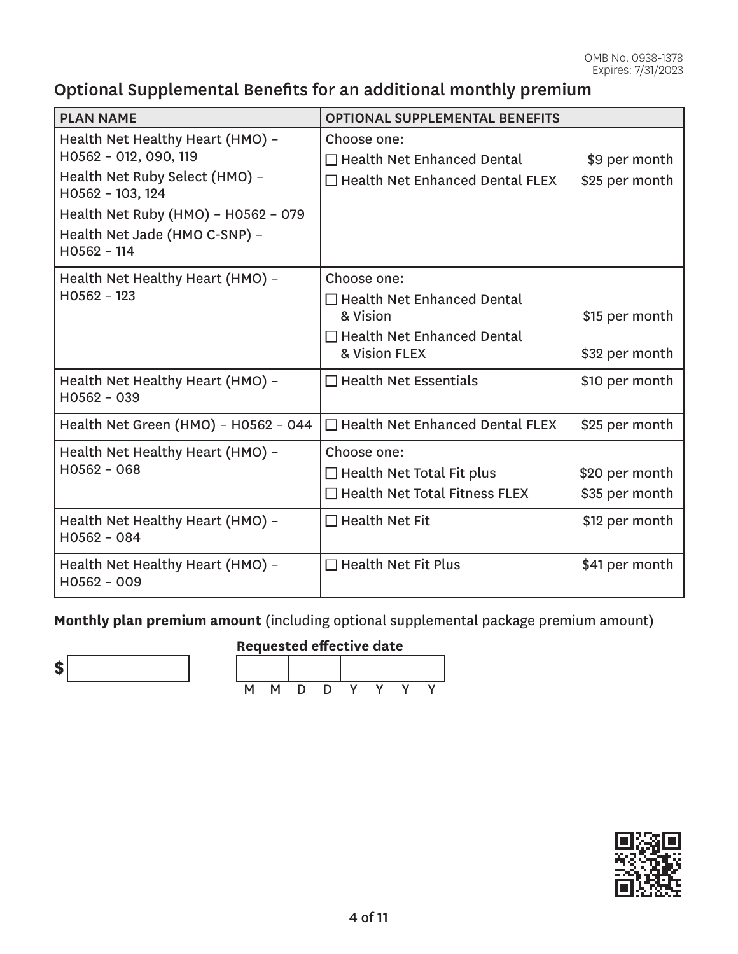# Optional Supplemental Benefits for an additional monthly premium

| <b>PLAN NAME</b>                                                                      | <b>OPTIONAL SUPPLEMENTAL BENEFITS</b>                             |                |  |  |  |
|---------------------------------------------------------------------------------------|-------------------------------------------------------------------|----------------|--|--|--|
| Health Net Healthy Heart (HMO) -<br>H0562 - 012, 090, 119                             | Choose one:<br>$\Box$ Health Net Enhanced Dental<br>\$9 per month |                |  |  |  |
| Health Net Ruby Select (HMO) -<br>H0562 - 103, 124                                    | $\Box$ Health Net Enhanced Dental FLEX                            | \$25 per month |  |  |  |
| Health Net Ruby (HMO) - H0562 - 079<br>Health Net Jade (HMO C-SNP) -<br>$H0562 - 114$ |                                                                   |                |  |  |  |
| Health Net Healthy Heart (HMO) -                                                      | Choose one:                                                       |                |  |  |  |
| $H0562 - 123$                                                                         | □ Health Net Enhanced Dental<br>& Vision                          | \$15 per month |  |  |  |
|                                                                                       | $\Box$ Health Net Enhanced Dental<br>& Vision FLEX                | \$32 per month |  |  |  |
| Health Net Healthy Heart (HMO) -<br>$H0562 - 039$                                     | $\Box$ Health Net Essentials                                      | \$10 per month |  |  |  |
| Health Net Green (HMO) - H0562 - 044                                                  | □ Health Net Enhanced Dental FLEX                                 | \$25 per month |  |  |  |
| Health Net Healthy Heart (HMO) -                                                      | Choose one:                                                       |                |  |  |  |
| $H0562 - 068$                                                                         | $\Box$ Health Net Total Fit plus<br>\$20 per month                |                |  |  |  |
|                                                                                       | $\Box$ Health Net Total Fitness FLEX                              | \$35 per month |  |  |  |
| Health Net Healthy Heart (HMO) -<br>$H0562 - 084$                                     | $\Box$ Health Net Fit                                             | \$12 per month |  |  |  |
| Health Net Healthy Heart (HMO) -<br>$H0562 - 009$                                     | $\Box$ Health Net Fit Plus                                        | \$41 per month |  |  |  |

**Monthly plan premium amount** (including optional supplemental package premium amount)



## **Requested effective date**



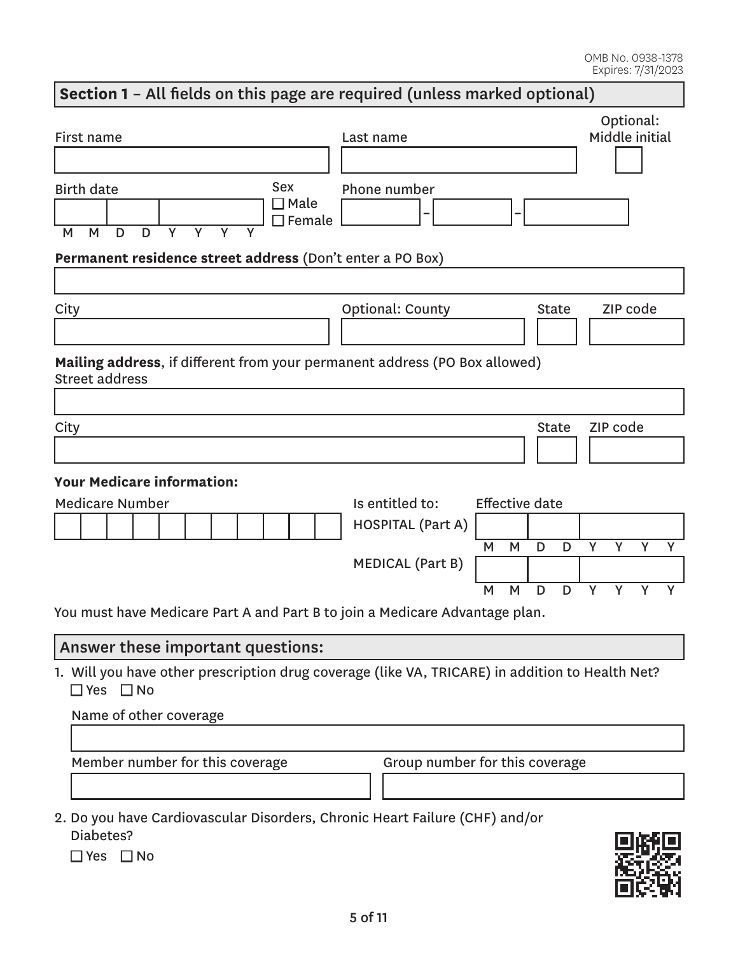# **Section 1** – All fields on this page are required (unless marked optional) First name Last name Optional: Middle initial Birth date M M D D Y Y Y Y Sex □ Male  $\Box$  Female Phone number **– – Permanent residence street address** (Don't enter a PO Box) City City Context County City County City City City Code **Mailing address**, if different from your permanent address (PO Box allowed) Street address City and the City State City of the City of the City of the City State City of the City of the City of the City **Your Medicare information:**  Medicare Number **Is entitled to:** Effective date HOSPITAL (Part A) M M D D Y Y Y Y MEDICAL (Part B) M M D D Y Y Y Y You must have Medicare Part A and Part B to join a Medicare Advantage plan. Answer these important questions:

1. Will you have other prescription drug coverage (like VA, TRICARE) in addition to Health Net?<br>□ Yes □ No

| Name of other coverage                                                     |                                |
|----------------------------------------------------------------------------|--------------------------------|
| Member number for this coverage                                            | Group number for this coverage |
| . Do you have Cardiovascular Disorders, Chronic Heart Failure (CHF) and/or |                                |

2. Do you have Cardiovascular Disorders, Chronic Heart Failure (CHF) and/or Diabetes?

■ Yes ■ No

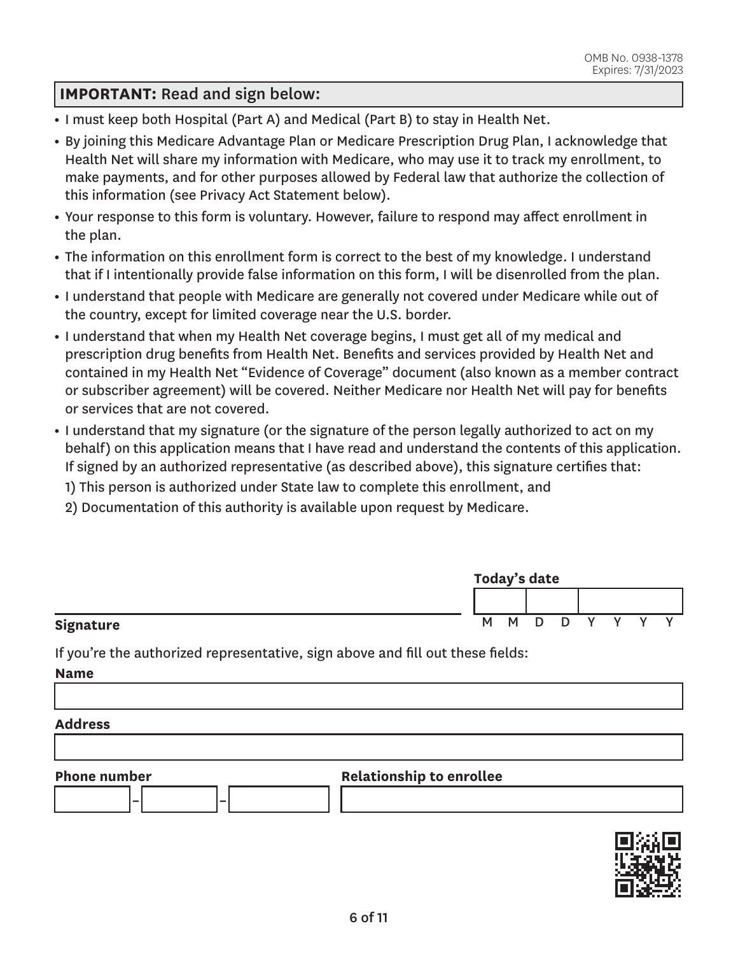### **IMPORTANT:** Read and sign below:

- I must keep both Hospital (Part A) and Medical (Part B) to stay in Health Net.
- By joining this Medicare Advantage Plan or Medicare Prescription Drug Plan, I acknowledge that Health Net will share my information with Medicare, who may use it to track my enrollment, to make payments, and for other purposes allowed by Federal law that authorize the collection of this information (see Privacy Act Statement below).
- Your response to this form is voluntary. However, failure to respond may affect enrollment in the plan.
- The information on this enrollment form is correct to the best of my knowledge. I understand that if I intentionally provide false information on this form, I will be disenrolled from the plan.
- I understand that people with Medicare are generally not covered under Medicare while out of the country, except for limited coverage near the U.S. border.
- I understand that when my Health Net coverage begins, I must get all of my medical and prescription drug benefits from Health Net. Benefits and services provided by Health Net and contained in my Health Net "Evidence of Coverage" document (also known as a member contract or subscriber agreement) will be covered. Neither Medicare nor Health Net will pay for benefits or services that are not covered.
- I understand that my signature (or the signature of the person legally authorized to act on my behalf) on this application means that I have read and understand the contents of this application. If signed by an authorized representative (as described above), this signature certifies that:
	- 1) This person is authorized under State law to complete this enrollment, and
	- 2) Documentation of this authority is available upon request by Medicare.

|           | Today's date |     |    |   |  |  |  |  |
|-----------|--------------|-----|----|---|--|--|--|--|
|           |              |     |    |   |  |  |  |  |
| Signature |              | M M | D. | D |  |  |  |  |

If you're the authorized representative, sign above and fill out these fields:

**Name** 

#### **Address**



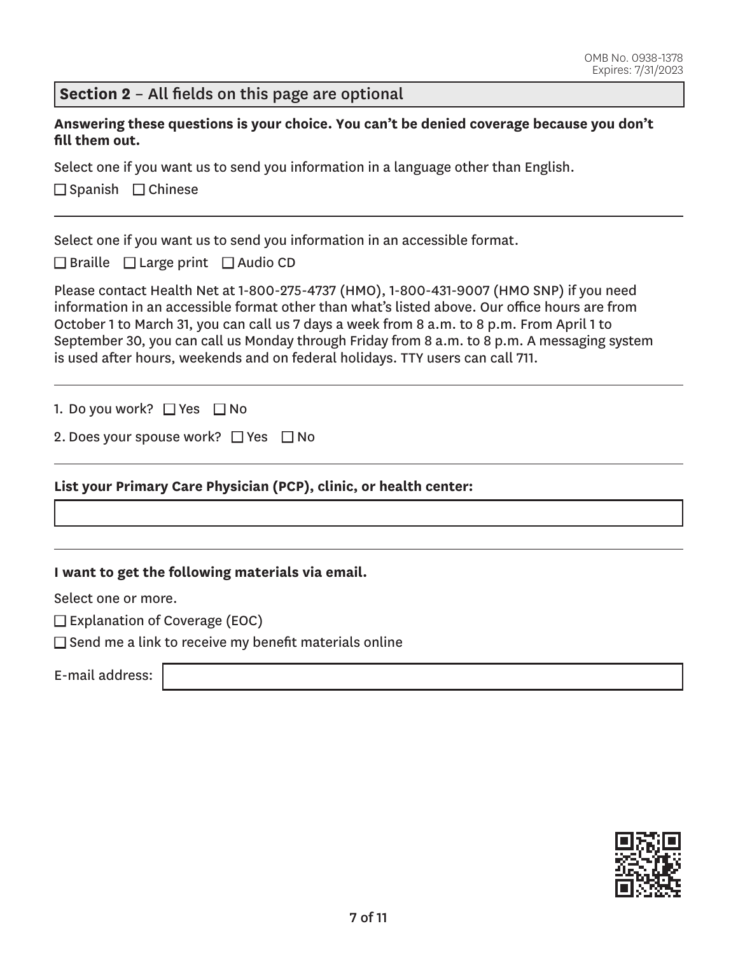### **Section 2** – All fields on this page are optional

**Answering these questions is your choice. You can't be denied coverage because you don't fill them out.** 

Select one if you want us to send you information in a language other than English.

■ Spanish ■ Chinese

Select one if you want us to send you information in an accessible format.

 $\Box$  Braille  $\Box$  Large print  $\Box$  Audio CD

Please contact Health Net at 1-800-275-4737 (HMO), 1-800-431-9007 (HMO SNP) if you need information in an accessible format other than what's listed above. Our office hours are from October 1 to March 31, you can call us 7 days a week from 8 a.m. to 8 p.m. From April 1 to September 30, you can call us Monday through Friday from 8 a.m. to 8 p.m. A messaging system is used after hours, weekends and on federal holidays. TTY users can call 711.

1. Do you work?  $\Box$  Yes  $\Box$  No

| 2. Does your spouse work? $\Box$ Yes $\Box$ No |  |  |
|------------------------------------------------|--|--|
|------------------------------------------------|--|--|

#### **List your Primary Care Physician (PCP), clinic, or health center:**

**I want to get the following materials via email.** 

Select one or more.

 $\square$  Explanation of Coverage (EOC)

 $\square$  Send me a link to receive my benefit materials online

E-mail address:

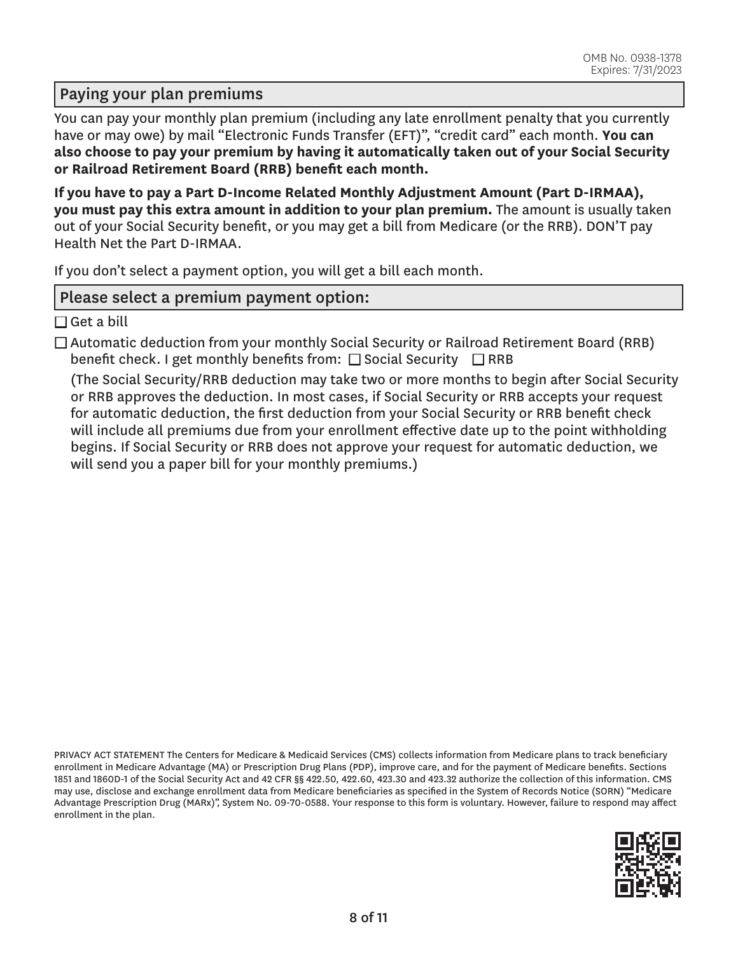### Paying your plan premiums

You can pay your monthly plan premium (including any late enrollment penalty that you currently have or may owe) by mail "Electronic Funds Transfer (EFT)", "credit card" each month. **You can also choose to pay your premium by having it automatically taken out of your Social Security or Railroad Retirement Board (RRB) benefit each month.** 

**If you have to pay a Part D-Income Related Monthly Adjustment Amount (Part D-IRMAA), you must pay this extra amount in addition to your plan premium.** The amount is usually taken out of your Social Security benefit, or you may get a bill from Medicare (or the RRB). DON'T pay Health Net the Part D-IRMAA.

If you don't select a payment option, you will get a bill each month.

### Please select a premium payment option:

 $\square$  Get a bill

 $\Box$  Automatic deduction from your monthly Social Security or Railroad Retirement Board (RRB) benefit check. I get monthly benefits from:  $\Box$  Social Security  $\Box$  RRB

(The Social Security/RRB deduction may take two or more months to begin after Social Security or RRB approves the deduction. In most cases, if Social Security or RRB accepts your request for automatic deduction, the first deduction from your Social Security or RRB benefit check will include all premiums due from your enrollment effective date up to the point withholding begins. If Social Security or RRB does not approve your request for automatic deduction, we will send you a paper bill for your monthly premiums.)

PRIVACY ACT STATEMENT The Centers for Medicare & Medicaid Services (CMS) collects information from Medicare plans to track beneficiary enrollment in Medicare Advantage (MA) or Prescription Drug Plans (PDP), improve care, and for the payment of Medicare benefits. Sections 1851 and 1860D-1 of the Social Security Act and 42 CFR §§ 422.50, 422.60, 423.30 and 423.32 authorize the collection of this information. CMS may use, disclose and exchange enrollment data from Medicare beneficiaries as specified in the System of Records Notice (SORN) "Medicare Advantage Prescription Drug (MARx)", System No. 09-70-0588. Your response to this form is voluntary. However, failure to respond may affect enrollment in the plan.

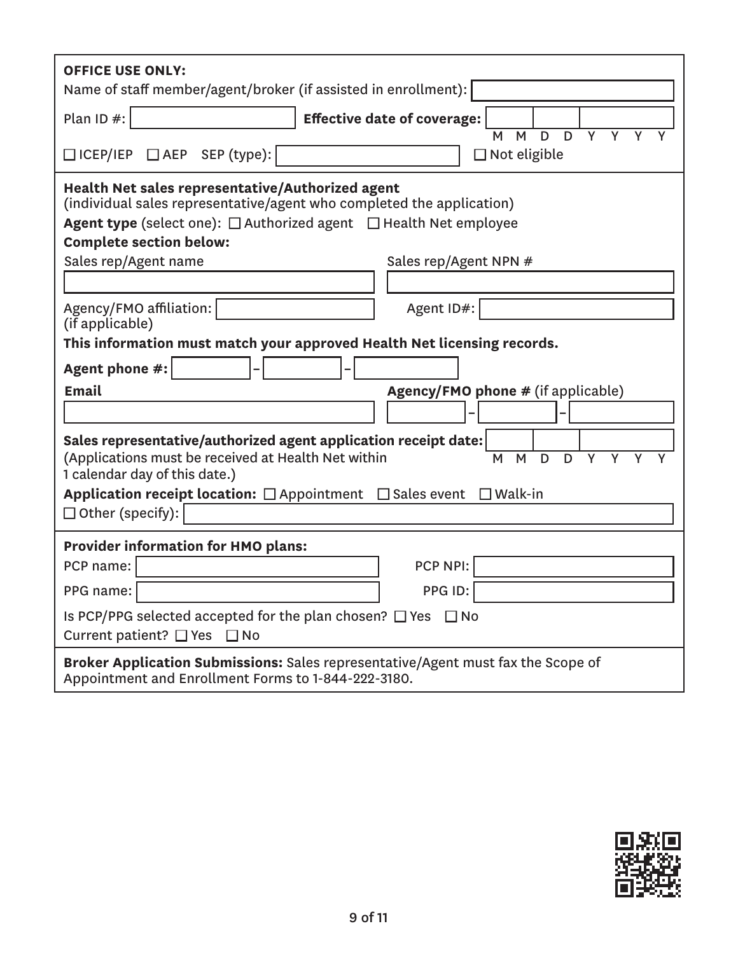| <b>OFFICE USE ONLY:</b><br>Name of staff member/agent/broker (if assisted in enrollment):                                                                                                                                                                                                          |  |  |  |  |
|----------------------------------------------------------------------------------------------------------------------------------------------------------------------------------------------------------------------------------------------------------------------------------------------------|--|--|--|--|
| Plan ID #:<br><b>Effective date of coverage:</b>                                                                                                                                                                                                                                                   |  |  |  |  |
| $\overline{Y}$<br>D<br>D<br>Y<br>M<br>M<br>□ ICEP/IEP □ AEP SEP (type):<br>$\Box$ Not eligible                                                                                                                                                                                                     |  |  |  |  |
| Health Net sales representative/Authorized agent<br>(individual sales representative/agent who completed the application)<br><b>Agent type</b> (select one): $\Box$ Authorized agent $\Box$ Health Net employee<br><b>Complete section below:</b><br>Sales rep/Agent name<br>Sales rep/Agent NPN # |  |  |  |  |
|                                                                                                                                                                                                                                                                                                    |  |  |  |  |
| Agency/FMO affiliation:<br>Agent ID#:<br>(if applicable)                                                                                                                                                                                                                                           |  |  |  |  |
| This information must match your approved Health Net licensing records.                                                                                                                                                                                                                            |  |  |  |  |
| Agent phone #:                                                                                                                                                                                                                                                                                     |  |  |  |  |
| <b>Email</b><br><b>Agency/FMO phone # (if applicable)</b>                                                                                                                                                                                                                                          |  |  |  |  |
|                                                                                                                                                                                                                                                                                                    |  |  |  |  |
| Sales representative/authorized agent application receipt date:<br>(Applications must be received at Health Net within<br>M<br>D<br>Y<br>Y<br>M<br>D<br>Y<br>1 calendar day of this date.)                                                                                                         |  |  |  |  |
| Application receipt location: $\Box$ Appointment $\Box$ Sales event $\Box$ Walk-in<br>$\Box$ Other (specify):                                                                                                                                                                                      |  |  |  |  |
| <b>Provider information for HMO plans:</b>                                                                                                                                                                                                                                                         |  |  |  |  |
| PCP NPI:<br>PCP name:                                                                                                                                                                                                                                                                              |  |  |  |  |
| PPG ID:<br>PPG name:                                                                                                                                                                                                                                                                               |  |  |  |  |
| Is PCP/PPG selected accepted for the plan chosen? $\Box$ Yes $\Box$ No<br>Current patient? □ Yes □ No                                                                                                                                                                                              |  |  |  |  |
| Broker Application Submissions: Sales representative/Agent must fax the Scope of<br>Appointment and Enrollment Forms to 1-844-222-3180.                                                                                                                                                            |  |  |  |  |

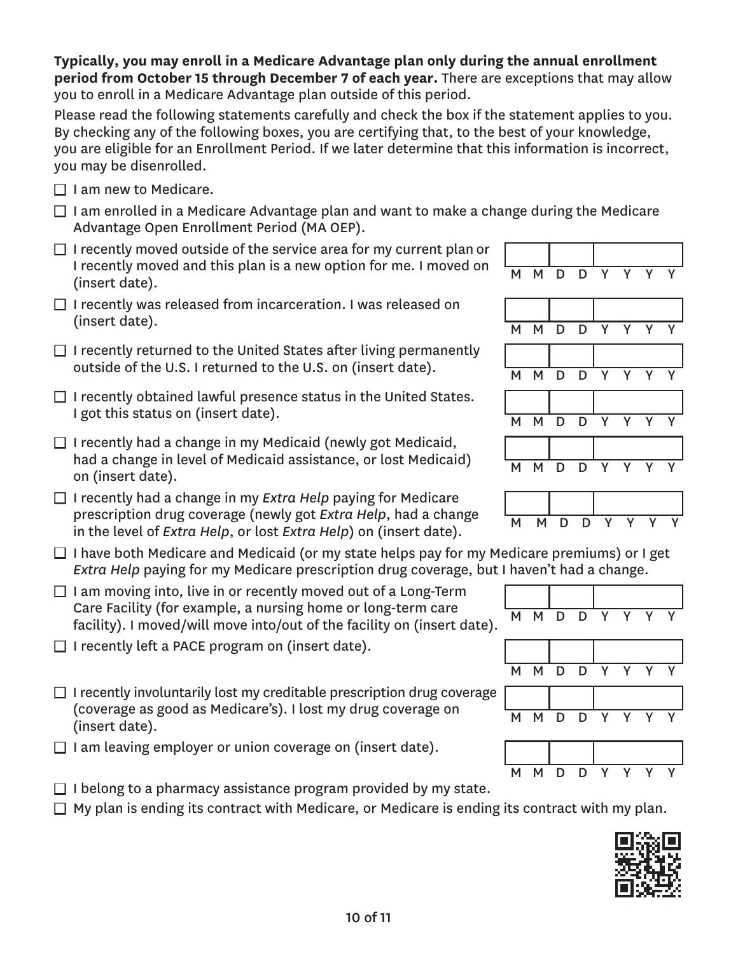**Typically, you may enroll in a Medicare Advantage plan only during the annual enrollment period from October 15 through December 7 of each year.** There are exceptions that may allow you to enroll in a Medicare Advantage plan outside of this period.

Please read the following statements carefully and check the box if the statement applies to you. By checking any of the following boxes, you are certifying that, to the best of your knowledge, you are eligible for an Enrollment Period. If we later determine that this information is incorrect, you may be disenrolled.

- $\Box$  I am new to Medicare.
- $\Box$  I am enrolled in a Medicare Advantage plan and want to make a change during the Medicare Advantage Open Enrollment Period (MA OEP).
- $\Box$  I recently moved outside of the service area for my current plan or I recently moved and this plan is a new option for me. I moved on  $\begin{array}{|l|} \hline \text{M} & \text{M} & \text{D} & \text{D} & \text{Y} & \text{Y} & \text{Y} & \text{Y} \ \hline \text{(insert date)}. \hline \end{array}$
- $\Box$  I recently was released from incarceration. I was released on (insert date). M M D D Y Y Y Y
- $\Box$  I recently returned to the United States after living permanently outside of the U.S. I returned to the U.S. on (insert date).  $M \times N$   $N \times N$
- $\Box$  I recently obtained lawful presence status in the United States. I got this status on (insert date).  $M \cup N$  M  $N \cup N$  D  $N$  Y
- $\Box$  I recently had a change in my Medicaid (newly got Medicaid, had a change in level of Medicaid assistance, or lost Medicaid) <br>on (insert date). M M D D Y Y Y Y
- □ I recently had a change in my *Extra Help* paying for Medicare prescription drug coverage (newly got *Extra Help*, had a change prescription and *coverage* (newly got *Extra Help*, had a change MMMDDY in the level of *Extra Help*, or lost *Extra Help*) on (insert date).
- $\Box$  I have both Medicare and Medicaid (or my state helps pay for my Medicare premiums) or I get *Extra Help* paying for my Medicare prescription drug coverage, but I haven't had a change.
- $\Box$  I am moving into, live in or recently moved out of a Long-Term Care Facility (for example, a nursing home or long-term care Care ractity (for example, a hursing nome of long-term care  $\overline{M}$  M D D Y Y Y Y  $\overline{Y}$  facility). I moved/will move into/out of the facility on (insert date).
- $\Box$  I recently left a PACE program on (insert date).
- $\Box$  I recently involuntarily lost my creditable prescription drug coverage (coverage as good as Medicare's). I lost my drug coverage on <br>(insert date). M M D D Y Y Y Y
- $\Box$  I am leaving employer or union coverage on (insert date).
- $\Box$  I belong to a pharmacy assistance program provided by my state.  $\Box$  My plan is ending its contract with Medicare, or Medicare is ending its contract with my plan.